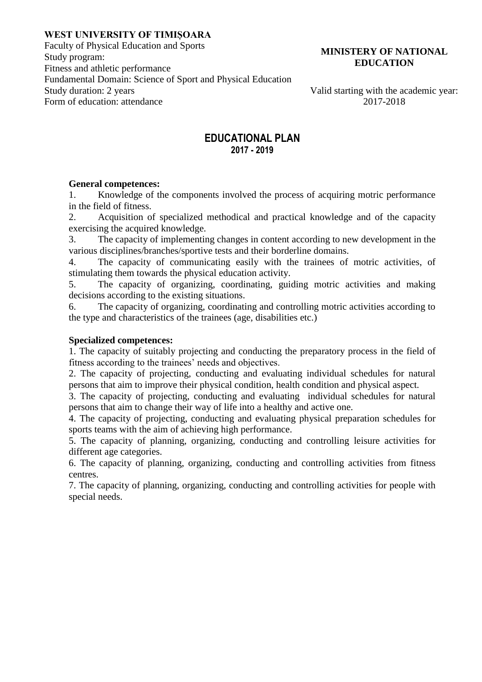#### **WEST UNIVERSITY OF TIMIȘOARA**

Faculty of Physical Education and Sports Study program: Fitness and athletic performance Fundamental Domain: Science of Sport and Physical Education Form of education: attendance 2017-2018

### **MINISTERY OF NATIONAL EDUCATION**

Valid starting with the academic year:

# **EDUCATIONAL PLAN 2017 - 2019**

#### **General competences:**

1. Knowledge of the components involved the process of acquiring motric performance in the field of fitness.

2. Acquisition of specialized methodical and practical knowledge and of the capacity exercising the acquired knowledge.

3. The capacity of implementing changes in content according to new development in the various disciplines/branches/sportive tests and their borderline domains.

4. The capacity of communicating easily with the trainees of motric activities, of stimulating them towards the physical education activity.

5. The capacity of organizing, coordinating, guiding motric activities and making decisions according to the existing situations.

6. The capacity of organizing, coordinating and controlling motric activities according to the type and characteristics of the trainees (age, disabilities etc.)

### **Specialized competences:**

1. The capacity of suitably projecting and conducting the preparatory process in the field of fitness according to the trainees' needs and objectives.

2. The capacity of projecting, conducting and evaluating individual schedules for natural persons that aim to improve their physical condition, health condition and physical aspect.

3. The capacity of projecting, conducting and evaluating individual schedules for natural persons that aim to change their way of life into a healthy and active one.

4. The capacity of projecting, conducting and evaluating physical preparation schedules for sports teams with the aim of achieving high performance.

5. The capacity of planning, organizing, conducting and controlling leisure activities for different age categories.

6. The capacity of planning, organizing, conducting and controlling activities from fitness centres.

7. The capacity of planning, organizing, conducting and controlling activities for people with special needs.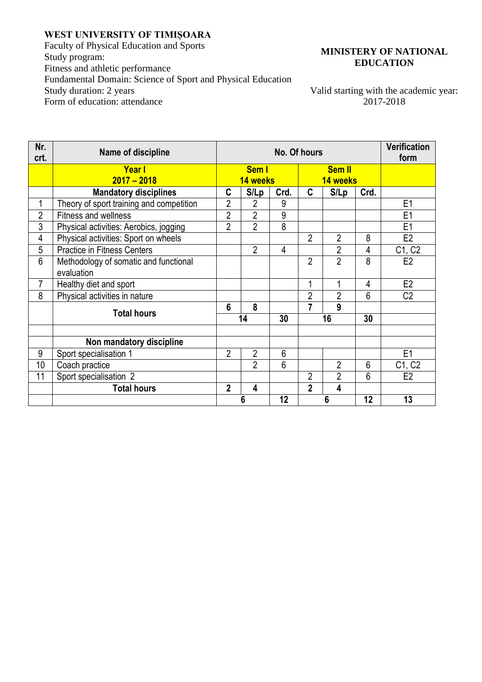## **WEST UNIVERSITY OF TIMIȘOARA**

Faculty of Physical Education and Sports Study program: Fitness and athletic performance Fundamental Domain: Science of Sport and Physical Education<br>Study duration: 2 years Form of education: attendance

### **MINISTERY OF NATIONAL EDUCATION**

Valid starting with the academic year:<br>2017-2018

| Nr.<br>crt.    | Name of discipline                                  | No. Of hours      |                         |      |                           |                |                | <b>Verification</b><br>form |
|----------------|-----------------------------------------------------|-------------------|-------------------------|------|---------------------------|----------------|----------------|-----------------------------|
|                | Yearl<br>$2017 - 2018$                              | Sem I<br>14 weeks |                         |      | <b>Sem II</b><br>14 weeks |                |                |                             |
|                | <b>Mandatory disciplines</b>                        | C                 | S/Lp                    | Crd. | $\mathbf{C}$              | S/Lp           | Crd.           |                             |
|                | Theory of sport training and competition            | 2                 | 2                       | 9    |                           |                |                | E <sub>1</sub>              |
| $\overline{2}$ | <b>Fitness and wellness</b>                         | $\overline{2}$    | $\overline{2}$          | 9    |                           |                |                | E <sub>1</sub>              |
| 3              | Physical activities: Aerobics, jogging              | $\overline{2}$    | $\overline{2}$          | 8    |                           |                |                | E <sub>1</sub>              |
| 4              | Physical activities: Sport on wheels                |                   |                         |      | $\overline{2}$            | $\overline{2}$ | 8              | E <sub>2</sub>              |
| 5              | <b>Practice in Fitness Centers</b>                  |                   | $\overline{2}$          | 4    |                           | $\overline{2}$ | 4              | C1, C2                      |
| 6              | Methodology of somatic and functional<br>evaluation |                   |                         |      | $\overline{2}$            | $\overline{2}$ | 8              | E <sub>2</sub>              |
| $\overline{7}$ | Healthy diet and sport                              |                   |                         |      | 1                         | 1              | 4              | E <sub>2</sub>              |
| 8              | Physical activities in nature                       |                   |                         |      | $\overline{2}$            | $\overline{2}$ | 6              | C <sub>2</sub>              |
|                | <b>Total hours</b>                                  | $6\phantom{1}$    | 8                       |      | $\overline{7}$            | 9              |                |                             |
|                |                                                     |                   | 14                      | 30   | 16                        |                | 30             |                             |
|                |                                                     |                   |                         |      |                           |                |                |                             |
|                | Non mandatory discipline                            |                   |                         |      |                           |                |                |                             |
| 9              | Sport specialisation 1                              | $\overline{2}$    | $\overline{2}$          | 6    |                           |                |                | E <sub>1</sub>              |
| 10             | Coach practice                                      |                   | $\overline{2}$          | 6    |                           | $\overline{2}$ | $6\phantom{1}$ | C1, C2                      |
| 11             | Sport specialisation 2                              |                   |                         |      | $\overline{2}$            | $\overline{2}$ | 6              | E2                          |
|                | <b>Total hours</b>                                  | $\overline{2}$    | $\overline{\mathbf{4}}$ |      | $\overline{2}$            | 4              |                |                             |
|                |                                                     |                   | 6                       | 12   |                           | 6              | 12             | 13                          |